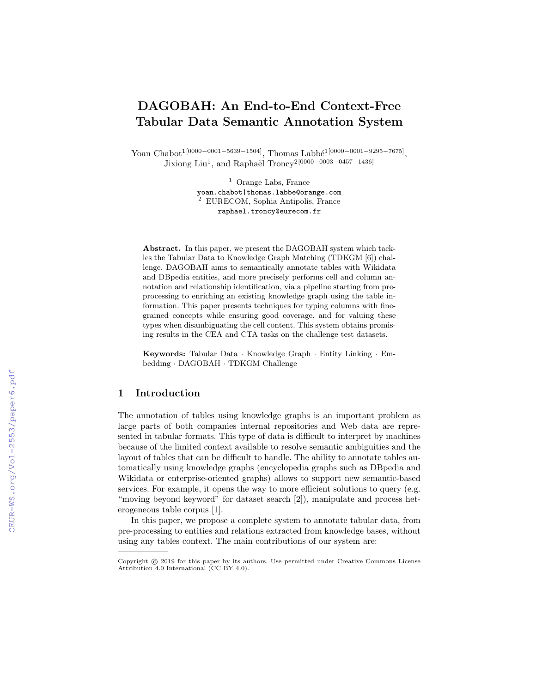# DAGOBAH: An End-to-End Context-Free Tabular Data Semantic Annotation System

Yoan Chabot<sup>1[0000–0001–5639–1504]</sup>, Thomas Labbé<sup>1[0000–0001–9295–7675]</sup>, Jixiong Liu<sup>1</sup>, and Raphaël Troncy<sup>2</sup><sup>[0000–0003–0457–1436]</sup>

> <sup>1</sup> Orange Labs, France yoan.chabot|thomas.labbe@orange.com <sup>2</sup> EURECOM, Sophia Antipolis, France raphael.troncy@eurecom.fr

Abstract. In this paper, we present the DAGOBAH system which tackles the Tabular Data to Knowledge Graph Matching (TDKGM [6]) challenge. DAGOBAH aims to semantically annotate tables with Wikidata and DBpedia entities, and more precisely performs cell and column annotation and relationship identification, via a pipeline starting from preprocessing to enriching an existing knowledge graph using the table information. This paper presents techniques for typing columns with finegrained concepts while ensuring good coverage, and for valuing these types when disambiguating the cell content. This system obtains promising results in the CEA and CTA tasks on the challenge test datasets.

Keywords: Tabular Data · Knowledge Graph · Entity Linking · Embedding · DAGOBAH · TDKGM Challenge

#### 1 Introduction

The annotation of tables using knowledge graphs is an important problem as large parts of both companies internal repositories and Web data are represented in tabular formats. This type of data is difficult to interpret by machines because of the limited context available to resolve semantic ambiguities and the layout of tables that can be difficult to handle. The ability to annotate tables automatically using knowledge graphs (encyclopedia graphs such as DBpedia and Wikidata or enterprise-oriented graphs) allows to support new semantic-based services. For example, it opens the way to more efficient solutions to query (e.g. "moving beyond keyword" for dataset search [2]), manipulate and process heterogeneous table corpus [1].

In this paper, we propose a complete system to annotate tabular data, from pre-processing to entities and relations extracted from knowledge bases, without using any tables context. The main contributions of our system are:

Copyright © 2019 for this paper by its authors. Use permitted under Creative Commons License Attribution 4.0 International (CC BY 4.0).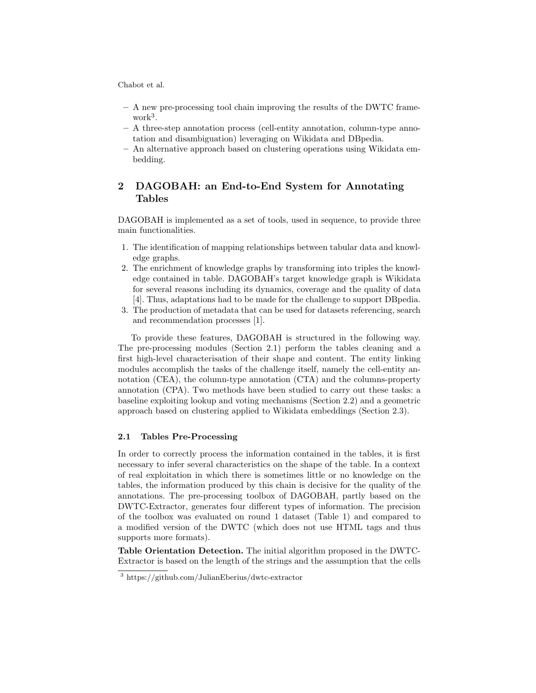- A new pre-processing tool chain improving the results of the DWTC framework<sup>3</sup> .
- A three-step annotation process (cell-entity annotation, column-type annotation and disambiguation) leveraging on Wikidata and DBpedia.
- An alternative approach based on clustering operations using Wikidata embedding.

## 2 DAGOBAH: an End-to-End System for Annotating Tables

DAGOBAH is implemented as a set of tools, used in sequence, to provide three main functionalities.

- 1. The identification of mapping relationships between tabular data and knowledge graphs.
- 2. The enrichment of knowledge graphs by transforming into triples the knowledge contained in table. DAGOBAH's target knowledge graph is Wikidata for several reasons including its dynamics, coverage and the quality of data [4]. Thus, adaptations had to be made for the challenge to support DBpedia.
- 3. The production of metadata that can be used for datasets referencing, search and recommendation processes [1].

To provide these features, DAGOBAH is structured in the following way. The pre-processing modules (Section 2.1) perform the tables cleaning and a first high-level characterisation of their shape and content. The entity linking modules accomplish the tasks of the challenge itself, namely the cell-entity annotation (CEA), the column-type annotation (CTA) and the columns-property annotation (CPA). Two methods have been studied to carry out these tasks: a baseline exploiting lookup and voting mechanisms (Section 2.2) and a geometric approach based on clustering applied to Wikidata embeddings (Section 2.3).

#### 2.1 Tables Pre-Processing

In order to correctly process the information contained in the tables, it is first necessary to infer several characteristics on the shape of the table. In a context of real exploitation in which there is sometimes little or no knowledge on the tables, the information produced by this chain is decisive for the quality of the annotations. The pre-processing toolbox of DAGOBAH, partly based on the DWTC-Extractor, generates four different types of information. The precision of the toolbox was evaluated on round 1 dataset (Table 1) and compared to a modified version of the DWTC (which does not use HTML tags and thus supports more formats).

Table Orientation Detection. The initial algorithm proposed in the DWTC-Extractor is based on the length of the strings and the assumption that the cells

<sup>3</sup> https://github.com/JulianEberius/dwtc-extractor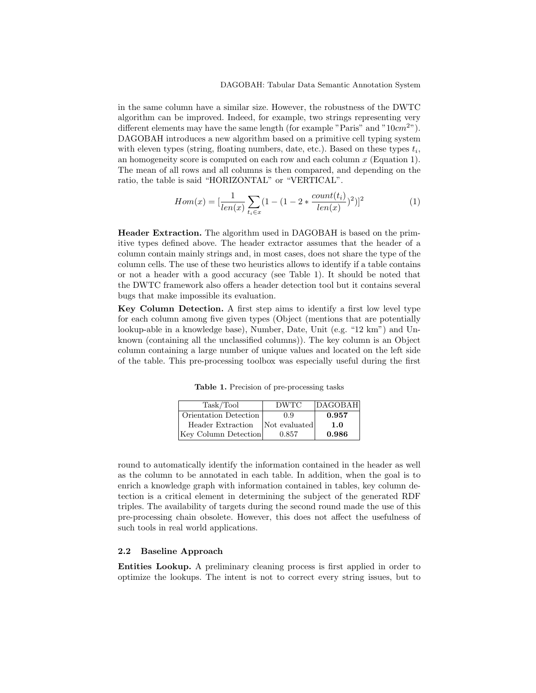in the same column have a similar size. However, the robustness of the DWTC algorithm can be improved. Indeed, for example, two strings representing very different elements may have the same length (for example "Paris" and " $10cm<sup>2</sup>$ "). DAGOBAH introduces a new algorithm based on a primitive cell typing system with eleven types (string, floating numbers, date, etc.). Based on these types  $t_i$ , an homogeneity score is computed on each row and each column  $x$  (Equation 1). The mean of all rows and all columns is then compared, and depending on the ratio, the table is said "HORIZONTAL" or "VERTICAL".

$$
Hom(x) = \left[\frac{1}{len(x)}\sum_{t_i \in x} (1 - (1 - 2 * \frac{count(t_i)}{len(x)})^2)\right]^2
$$
\n(1)

Header Extraction. The algorithm used in DAGOBAH is based on the primitive types defined above. The header extractor assumes that the header of a column contain mainly strings and, in most cases, does not share the type of the column cells. The use of these two heuristics allows to identify if a table contains or not a header with a good accuracy (see Table 1). It should be noted that the DWTC framework also offers a header detection tool but it contains several bugs that make impossible its evaluation.

Key Column Detection. A first step aims to identify a first low level type for each column among five given types (Object (mentions that are potentially lookup-able in a knowledge base), Number, Date, Unit (e.g. "12 km") and Unknown (containing all the unclassified columns)). The key column is an Object column containing a large number of unique values and located on the left side of the table. This pre-processing toolbox was especially useful during the first

Table 1. Precision of pre-processing tasks

| Task/Tool             | DWTC          | DAGOBAH |
|-----------------------|---------------|---------|
| Orientation Detection | 0.9           | 0.957   |
| Header Extraction     | Not evaluated | 1.0     |
| Key Column Detection  | 0.857         | 0.986   |

round to automatically identify the information contained in the header as well as the column to be annotated in each table. In addition, when the goal is to enrich a knowledge graph with information contained in tables, key column detection is a critical element in determining the subject of the generated RDF triples. The availability of targets during the second round made the use of this pre-processing chain obsolete. However, this does not affect the usefulness of such tools in real world applications.

#### 2.2 Baseline Approach

Entities Lookup. A preliminary cleaning process is first applied in order to optimize the lookups. The intent is not to correct every string issues, but to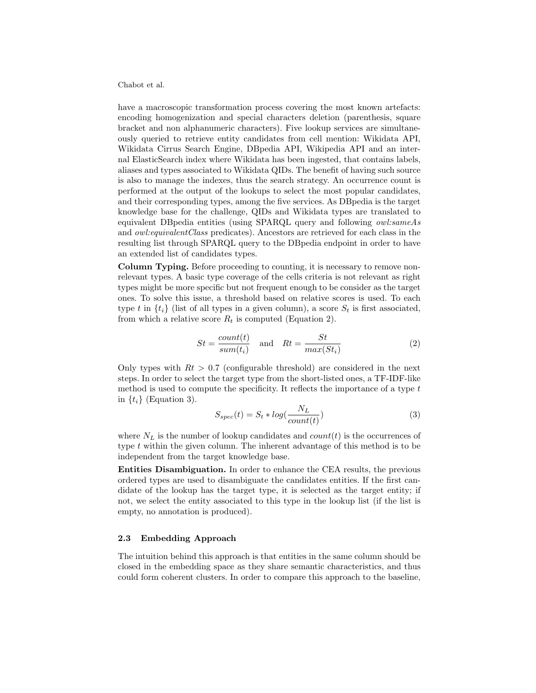have a macroscopic transformation process covering the most known artefacts: encoding homogenization and special characters deletion (parenthesis, square bracket and non alphanumeric characters). Five lookup services are simultaneously queried to retrieve entity candidates from cell mention: Wikidata API, Wikidata Cirrus Search Engine, DBpedia API, Wikipedia API and an internal ElasticSearch index where Wikidata has been ingested, that contains labels, aliases and types associated to Wikidata QIDs. The benefit of having such source is also to manage the indexes, thus the search strategy. An occurrence count is performed at the output of the lookups to select the most popular candidates, and their corresponding types, among the five services. As DBpedia is the target knowledge base for the challenge, QIDs and Wikidata types are translated to equivalent DBpedia entities (using SPARQL query and following owl:sameAs and *owl:equivalentClass* predicates). Ancestors are retrieved for each class in the resulting list through SPARQL query to the DBpedia endpoint in order to have an extended list of candidates types.

Column Typing. Before proceeding to counting, it is necessary to remove nonrelevant types. A basic type coverage of the cells criteria is not relevant as right types might be more specific but not frequent enough to be consider as the target ones. To solve this issue, a threshold based on relative scores is used. To each type t in  $\{t_i\}$  (list of all types in a given column), a score  $S_t$  is first associated, from which a relative score  $R_t$  is computed (Equation 2).

$$
St = \frac{count(t)}{sum(t_i)} \quad \text{and} \quad Rt = \frac{St}{max(St_i)}
$$
 (2)

Only types with  $Rt > 0.7$  (configurable threshold) are considered in the next steps. In order to select the target type from the short-listed ones, a TF-IDF-like method is used to compute the specificity. It reflects the importance of a type  $t$ in  $\{t_i\}$  (Equation 3).

$$
S_{spec}(t) = S_t * log(\frac{N_L}{count(t)})
$$
\n(3)

where  $N_L$  is the number of lookup candidates and  $count(t)$  is the occurrences of type  $t$  within the given column. The inherent advantage of this method is to be independent from the target knowledge base.

Entities Disambiguation. In order to enhance the CEA results, the previous ordered types are used to disambiguate the candidates entities. If the first candidate of the lookup has the target type, it is selected as the target entity; if not, we select the entity associated to this type in the lookup list (if the list is empty, no annotation is produced).

#### 2.3 Embedding Approach

The intuition behind this approach is that entities in the same column should be closed in the embedding space as they share semantic characteristics, and thus could form coherent clusters. In order to compare this approach to the baseline,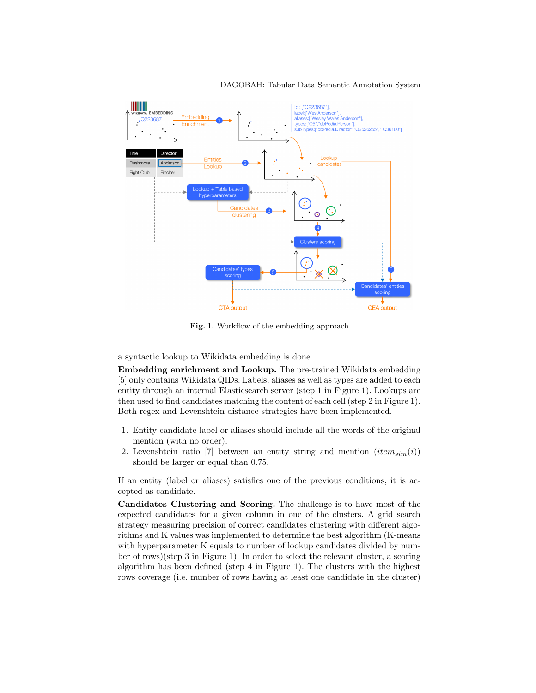

#### DAGOBAH: Tabular Data Semantic Annotation System

Fig. 1. Workflow of the embedding approach

a syntactic lookup to Wikidata embedding is done.

Embedding enrichment and Lookup. The pre-trained Wikidata embedding [5] only contains Wikidata QIDs. Labels, aliases as well as types are added to each entity through an internal Elasticsearch server (step 1 in Figure 1). Lookups are then used to find candidates matching the content of each cell (step 2 in Figure 1). Both regex and Levenshtein distance strategies have been implemented.

- 1. Entity candidate label or aliases should include all the words of the original mention (with no order).
- 2. Levenshtein ratio [7] between an entity string and mention  $item_{sim}(i)$ ) should be larger or equal than 0.75.

If an entity (label or aliases) satisfies one of the previous conditions, it is accepted as candidate.

Candidates Clustering and Scoring. The challenge is to have most of the expected candidates for a given column in one of the clusters. A grid search strategy measuring precision of correct candidates clustering with different algorithms and K values was implemented to determine the best algorithm (K-means with hyperparameter K equals to number of lookup candidates divided by number of rows)(step 3 in Figure 1). In order to select the relevant cluster, a scoring algorithm has been defined (step 4 in Figure 1). The clusters with the highest rows coverage (i.e. number of rows having at least one candidate in the cluster)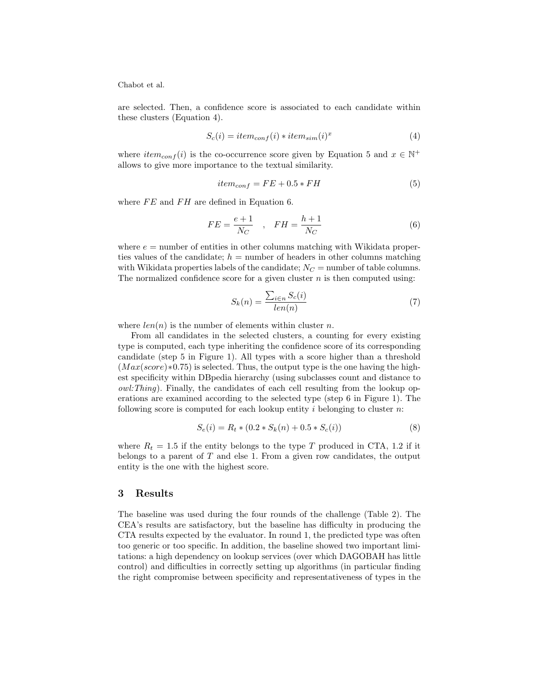are selected. Then, a confidence score is associated to each candidate within these clusters (Equation 4).

$$
S_c(i) = item_{conf}(i) * item_{sim}(i)^x
$$
\n(4)

where  $item_{conf}(i)$  is the co-occurrence score given by Equation 5 and  $x \in \mathbb{N}^+$ allows to give more importance to the textual similarity.

$$
item_{conf} = FE + 0.5 * FH \tag{5}
$$

where  $FE$  and  $FH$  are defined in Equation 6.

$$
FE = \frac{e+1}{N_C} \quad , \quad FH = \frac{h+1}{N_C} \tag{6}
$$

where  $e =$  number of entities in other columns matching with Wikidata properties values of the candidate;  $h =$  number of headers in other columns matching with Wikidata properties labels of the candidate;  $N_C$  = number of table columns. The normalized confidence score for a given cluster  $n$  is then computed using:

$$
S_k(n) = \frac{\sum_{i \in n} S_c(i)}{len(n)}\tag{7}
$$

where  $len(n)$  is the number of elements within cluster n.

From all candidates in the selected clusters, a counting for every existing type is computed, each type inheriting the confidence score of its corresponding candidate (step 5 in Figure 1). All types with a score higher than a threshold  $(Max(score) * 0.75)$  is selected. Thus, the output type is the one having the highest specificity within DBpedia hierarchy (using subclasses count and distance to  $\textit{owl:}$  Thing). Finally, the candidates of each cell resulting from the lookup operations are examined according to the selected type (step 6 in Figure 1). The following score is computed for each lookup entity  $i$  belonging to cluster  $n$ :

$$
S_e(i) = R_t * (0.2 * S_k(n) + 0.5 * S_c(i))
$$
\n(8)

where  $R_t = 1.5$  if the entity belongs to the type T produced in CTA, 1.2 if it belongs to a parent of  $T$  and else 1. From a given row candidates, the output entity is the one with the highest score.

#### 3 Results

The baseline was used during the four rounds of the challenge (Table 2). The CEA's results are satisfactory, but the baseline has difficulty in producing the CTA results expected by the evaluator. In round 1, the predicted type was often too generic or too specific. In addition, the baseline showed two important limitations: a high dependency on lookup services (over which DAGOBAH has little control) and difficulties in correctly setting up algorithms (in particular finding the right compromise between specificity and representativeness of types in the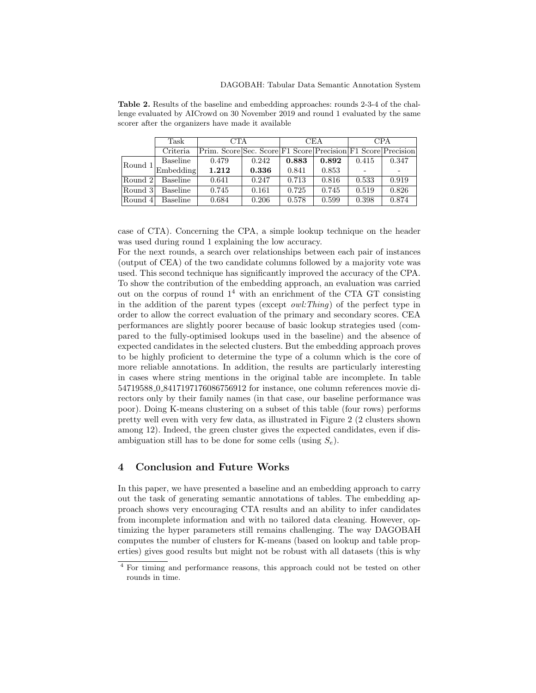|         | Task            | <b>CTA</b>                                                   |       | CEA   |       | <b>CPA</b> |       |
|---------|-----------------|--------------------------------------------------------------|-------|-------|-------|------------|-------|
|         | Criteria        | Prim. Score Sec. Score F1 Score Precision F1 Score Precision |       |       |       |            |       |
| Round 1 | Baseline        | 0.479                                                        | 0.242 | 0.883 | 0.892 | 0.415      | 0.347 |
|         | Embedding       | 1.212                                                        | 0.336 | 0.841 | 0.853 |            |       |
| Round 2 | Baseline        | 0.641                                                        | 0.247 | 0.713 | 0.816 | 0.533      | 0.919 |
| Round 3 | <b>Baseline</b> | 0.745                                                        | 0.161 | 0.725 | 0.745 | 0.519      | 0.826 |
| Round 4 | <b>Baseline</b> | 0.684                                                        | 0.206 | 0.578 | 0.599 | 0.398      | 0.874 |

Table 2. Results of the baseline and embedding approaches: rounds 2-3-4 of the challenge evaluated by AICrowd on 30 November 2019 and round 1 evaluated by the same scorer after the organizers have made it available

case of CTA). Concerning the CPA, a simple lookup technique on the header was used during round 1 explaining the low accuracy.

For the next rounds, a search over relationships between each pair of instances (output of CEA) of the two candidate columns followed by a majority vote was used. This second technique has significantly improved the accuracy of the CPA. To show the contribution of the embedding approach, an evaluation was carried out on the corpus of round  $1<sup>4</sup>$  with an enrichment of the CTA GT consisting in the addition of the parent types (except *owl:Thing*) of the perfect type in order to allow the correct evaluation of the primary and secondary scores. CEA performances are slightly poorer because of basic lookup strategies used (compared to the fully-optimised lookups used in the baseline) and the absence of expected candidates in the selected clusters. But the embedding approach proves to be highly proficient to determine the type of a column which is the core of more reliable annotations. In addition, the results are particularly interesting in cases where string mentions in the original table are incomplete. In table 54719588 0 8417197176086756912 for instance, one column references movie directors only by their family names (in that case, our baseline performance was poor). Doing K-means clustering on a subset of this table (four rows) performs pretty well even with very few data, as illustrated in Figure 2 (2 clusters shown among 12). Indeed, the green cluster gives the expected candidates, even if disambiguation still has to be done for some cells (using  $S_e$ ).

#### 4 Conclusion and Future Works

In this paper, we have presented a baseline and an embedding approach to carry out the task of generating semantic annotations of tables. The embedding approach shows very encouraging CTA results and an ability to infer candidates from incomplete information and with no tailored data cleaning. However, optimizing the hyper parameters still remains challenging. The way DAGOBAH computes the number of clusters for K-means (based on lookup and table properties) gives good results but might not be robust with all datasets (this is why

<sup>4</sup> For timing and performance reasons, this approach could not be tested on other rounds in time.